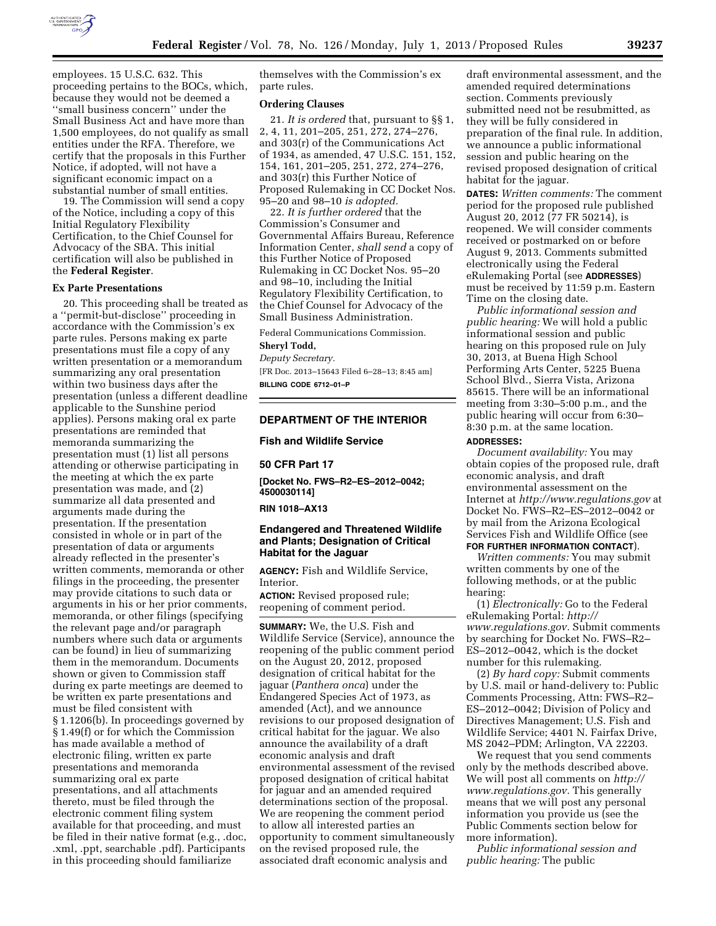

employees. 15 U.S.C. 632. This proceeding pertains to the BOCs, which, because they would not be deemed a ''small business concern'' under the Small Business Act and have more than 1,500 employees, do not qualify as small entities under the RFA. Therefore, we certify that the proposals in this Further Notice, if adopted, will not have a significant economic impact on a substantial number of small entities.

19. The Commission will send a copy of the Notice, including a copy of this Initial Regulatory Flexibility Certification, to the Chief Counsel for Advocacy of the SBA. This initial certification will also be published in the **Federal Register**.

#### **Ex Parte Presentations**

20. This proceeding shall be treated as a ''permit-but-disclose'' proceeding in accordance with the Commission's ex parte rules. Persons making ex parte presentations must file a copy of any written presentation or a memorandum summarizing any oral presentation within two business days after the presentation (unless a different deadline applicable to the Sunshine period applies). Persons making oral ex parte presentations are reminded that memoranda summarizing the presentation must (1) list all persons attending or otherwise participating in the meeting at which the ex parte presentation was made, and (2) summarize all data presented and arguments made during the presentation. If the presentation consisted in whole or in part of the presentation of data or arguments already reflected in the presenter's written comments, memoranda or other filings in the proceeding, the presenter may provide citations to such data or arguments in his or her prior comments, memoranda, or other filings (specifying the relevant page and/or paragraph numbers where such data or arguments can be found) in lieu of summarizing them in the memorandum. Documents shown or given to Commission staff during ex parte meetings are deemed to be written ex parte presentations and must be filed consistent with § 1.1206(b). In proceedings governed by § 1.49(f) or for which the Commission has made available a method of electronic filing, written ex parte presentations and memoranda summarizing oral ex parte presentations, and all attachments thereto, must be filed through the electronic comment filing system available for that proceeding, and must be filed in their native format (e.g., .doc, .xml, .ppt, searchable .pdf). Participants in this proceeding should familiarize

themselves with the Commission's ex parte rules.

# **Ordering Clauses**

21. *It is ordered* that, pursuant to §§ 1, 2, 4, 11, 201–205, 251, 272, 274–276, and 303(r) of the Communications Act of 1934, as amended, 47 U.S.C. 151, 152, 154, 161, 201–205, 251, 272, 274–276, and 303(r) this Further Notice of Proposed Rulemaking in CC Docket Nos. 95–20 and 98–10 *is adopted.* 

22. *It is further ordered* that the Commission's Consumer and Governmental Affairs Bureau, Reference Information Center, *shall send* a copy of this Further Notice of Proposed Rulemaking in CC Docket Nos. 95–20 and 98–10, including the Initial Regulatory Flexibility Certification, to the Chief Counsel for Advocacy of the Small Business Administration.

Federal Communications Commission.

### **Sheryl Todd,**

*Deputy Secretary.* 

[FR Doc. 2013–15643 Filed 6–28–13; 8:45 am] **BILLING CODE 6712–01–P** 

# **DEPARTMENT OF THE INTERIOR**

#### **Fish and Wildlife Service**

#### **50 CFR Part 17**

**[Docket No. FWS–R2–ES–2012–0042; 4500030114]** 

# **RIN 1018–AX13**

# **Endangered and Threatened Wildlife and Plants; Designation of Critical Habitat for the Jaguar**

**AGENCY:** Fish and Wildlife Service, Interior.

**ACTION:** Revised proposed rule; reopening of comment period.

**SUMMARY:** We, the U.S. Fish and Wildlife Service (Service), announce the reopening of the public comment period on the August 20, 2012, proposed designation of critical habitat for the jaguar (*Panthera onca*) under the Endangered Species Act of 1973, as amended (Act), and we announce revisions to our proposed designation of critical habitat for the jaguar. We also announce the availability of a draft economic analysis and draft environmental assessment of the revised proposed designation of critical habitat for jaguar and an amended required determinations section of the proposal. We are reopening the comment period to allow all interested parties an opportunity to comment simultaneously on the revised proposed rule, the associated draft economic analysis and

draft environmental assessment, and the amended required determinations section. Comments previously submitted need not be resubmitted, as they will be fully considered in preparation of the final rule. In addition, we announce a public informational session and public hearing on the revised proposed designation of critical habitat for the jaguar.

**DATES:** *Written comments:* The comment period for the proposed rule published August 20, 2012 (77 FR 50214), is reopened. We will consider comments received or postmarked on or before August 9, 2013. Comments submitted electronically using the Federal eRulemaking Portal (see **ADDRESSES**) must be received by 11:59 p.m. Eastern Time on the closing date.

*Public informational session and public hearing:* We will hold a public informational session and public hearing on this proposed rule on July 30, 2013, at Buena High School Performing Arts Center, 5225 Buena School Blvd., Sierra Vista, Arizona 85615. There will be an informational meeting from 3:30–5:00 p.m., and the public hearing will occur from 6:30– 8:30 p.m. at the same location.

#### **ADDRESSES:**

*Document availability:* You may obtain copies of the proposed rule, draft economic analysis, and draft environmental assessment on the Internet at *<http://www.regulations.gov>* at Docket No. FWS–R2–ES–2012–0042 or by mail from the Arizona Ecological Services Fish and Wildlife Office (see **FOR FURTHER INFORMATION CONTACT**).

*Written comments:* You may submit written comments by one of the following methods, or at the public hearing:

(1) *Electronically:* Go to the Federal eRulemaking Portal: *[http://](http://www.regulations.gov) [www.regulations.gov.](http://www.regulations.gov)* Submit comments by searching for Docket No. FWS–R2– ES–2012–0042, which is the docket number for this rulemaking.

(2) *By hard copy:* Submit comments by U.S. mail or hand-delivery to: Public Comments Processing, Attn: FWS–R2– ES–2012–0042; Division of Policy and Directives Management; U.S. Fish and Wildlife Service; 4401 N. Fairfax Drive, MS 2042–PDM; Arlington, VA 22203.

We request that you send comments only by the methods described above. We will post all comments on *[http://](http://www.regulations.gov) [www.regulations.gov.](http://www.regulations.gov)* This generally means that we will post any personal information you provide us (see the Public Comments section below for more information).

*Public informational session and public hearing:* The public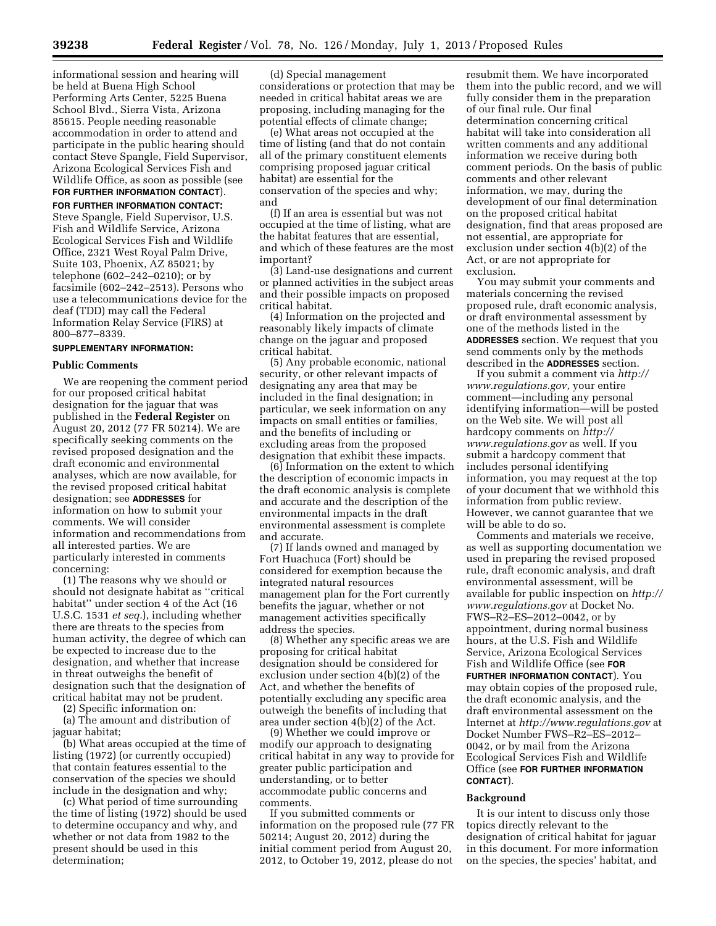informational session and hearing will be held at Buena High School Performing Arts Center, 5225 Buena School Blvd., Sierra Vista, Arizona 85615. People needing reasonable accommodation in order to attend and participate in the public hearing should contact Steve Spangle, Field Supervisor, Arizona Ecological Services Fish and Wildlife Office, as soon as possible (see

**FOR FURTHER INFORMATION CONTACT**).

**FOR FURTHER INFORMATION CONTACT:** 

Steve Spangle, Field Supervisor, U.S. Fish and Wildlife Service, Arizona Ecological Services Fish and Wildlife Office, 2321 West Royal Palm Drive, Suite 103, Phoenix, AZ 85021; by telephone (602–242–0210); or by facsimile (602–242–2513). Persons who use a telecommunications device for the deaf (TDD) may call the Federal Information Relay Service (FIRS) at 800–877–8339.

# **SUPPLEMENTARY INFORMATION:**

#### **Public Comments**

We are reopening the comment period for our proposed critical habitat designation for the jaguar that was published in the **Federal Register** on August 20, 2012 (77 FR 50214). We are specifically seeking comments on the revised proposed designation and the draft economic and environmental analyses, which are now available, for the revised proposed critical habitat designation; see **ADDRESSES** for information on how to submit your comments. We will consider information and recommendations from all interested parties. We are particularly interested in comments concerning:

(1) The reasons why we should or should not designate habitat as ''critical habitat'' under section 4 of the Act (16 U.S.C. 1531 *et seq.*), including whether there are threats to the species from human activity, the degree of which can be expected to increase due to the designation, and whether that increase in threat outweighs the benefit of designation such that the designation of critical habitat may not be prudent.

(2) Specific information on:

(a) The amount and distribution of jaguar habitat;

(b) What areas occupied at the time of listing (1972) (or currently occupied) that contain features essential to the conservation of the species we should include in the designation and why;

(c) What period of time surrounding the time of listing (1972) should be used to determine occupancy and why, and whether or not data from 1982 to the present should be used in this determination;

(d) Special management considerations or protection that may be needed in critical habitat areas we are proposing, including managing for the potential effects of climate change;

(e) What areas not occupied at the time of listing (and that do not contain all of the primary constituent elements comprising proposed jaguar critical habitat) are essential for the conservation of the species and why; and

(f) If an area is essential but was not occupied at the time of listing, what are the habitat features that are essential, and which of these features are the most important?

(3) Land-use designations and current or planned activities in the subject areas and their possible impacts on proposed critical habitat.

(4) Information on the projected and reasonably likely impacts of climate change on the jaguar and proposed critical habitat.

(5) Any probable economic, national security, or other relevant impacts of designating any area that may be included in the final designation; in particular, we seek information on any impacts on small entities or families, and the benefits of including or excluding areas from the proposed designation that exhibit these impacts.

(6) Information on the extent to which the description of economic impacts in the draft economic analysis is complete and accurate and the description of the environmental impacts in the draft environmental assessment is complete and accurate.

(7) If lands owned and managed by Fort Huachuca (Fort) should be considered for exemption because the integrated natural resources management plan for the Fort currently benefits the jaguar, whether or not management activities specifically address the species.

(8) Whether any specific areas we are proposing for critical habitat designation should be considered for exclusion under section 4(b)(2) of the Act, and whether the benefits of potentially excluding any specific area outweigh the benefits of including that area under section 4(b)(2) of the Act.

(9) Whether we could improve or modify our approach to designating critical habitat in any way to provide for greater public participation and understanding, or to better accommodate public concerns and comments.

If you submitted comments or information on the proposed rule (77 FR 50214; August 20, 2012) during the initial comment period from August 20, 2012, to October 19, 2012, please do not

resubmit them. We have incorporated them into the public record, and we will fully consider them in the preparation of our final rule. Our final determination concerning critical habitat will take into consideration all written comments and any additional information we receive during both comment periods. On the basis of public comments and other relevant information, we may, during the development of our final determination on the proposed critical habitat designation, find that areas proposed are not essential, are appropriate for exclusion under section 4(b)(2) of the Act, or are not appropriate for exclusion.

You may submit your comments and materials concerning the revised proposed rule, draft economic analysis, or draft environmental assessment by one of the methods listed in the **ADDRESSES** section. We request that you send comments only by the methods described in the **ADDRESSES** section.

If you submit a comment via *[http://](http://www.regulations.gov)  [www.regulations.gov,](http://www.regulations.gov)* your entire comment—including any personal identifying information—will be posted on the Web site. We will post all hardcopy comments on *[http://](http://www.regulations.gov)  [www.regulations.gov](http://www.regulations.gov)* as well. If you submit a hardcopy comment that includes personal identifying information, you may request at the top of your document that we withhold this information from public review. However, we cannot guarantee that we will be able to do so.

Comments and materials we receive, as well as supporting documentation we used in preparing the revised proposed rule, draft economic analysis, and draft environmental assessment, will be available for public inspection on *[http://](http://www.regulations.gov)  [www.regulations.gov](http://www.regulations.gov)* at Docket No. FWS–R2–ES–2012–0042, or by appointment, during normal business hours, at the U.S. Fish and Wildlife Service, Arizona Ecological Services Fish and Wildlife Office (see **FOR FURTHER INFORMATION CONTACT**). You may obtain copies of the proposed rule, the draft economic analysis, and the draft environmental assessment on the Internet at *<http://www.regulations.gov>* at Docket Number FWS–R2–ES–2012– 0042, or by mail from the Arizona Ecological Services Fish and Wildlife Office (see **FOR FURTHER INFORMATION CONTACT**).

#### **Background**

It is our intent to discuss only those topics directly relevant to the designation of critical habitat for jaguar in this document. For more information on the species, the species' habitat, and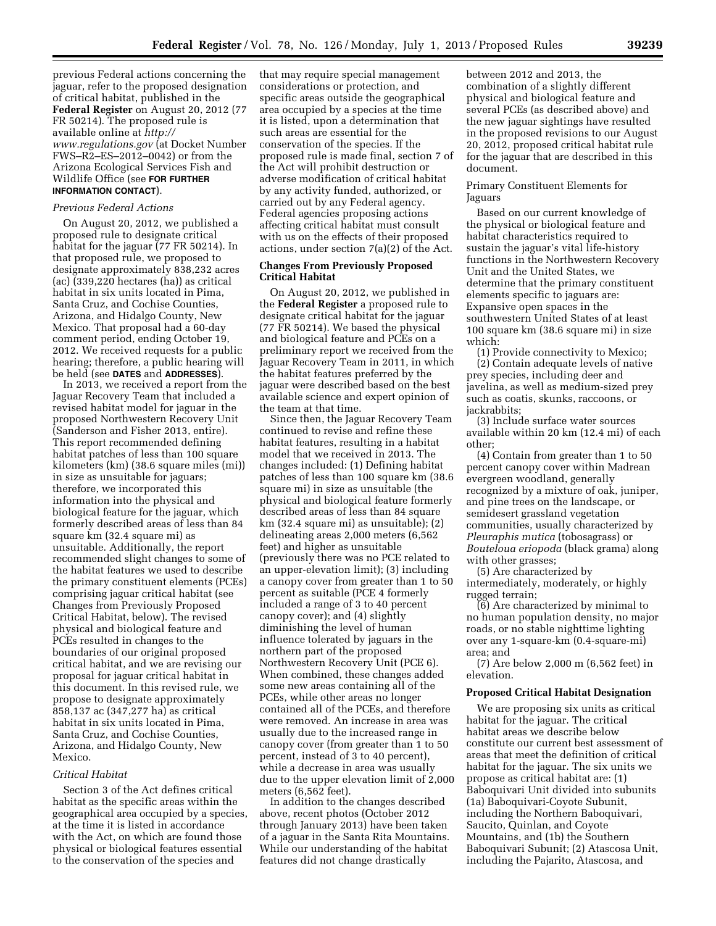previous Federal actions concerning the jaguar, refer to the proposed designation of critical habitat, published in the **Federal Register** on August 20, 2012 (77 FR 50214). The proposed rule is available online at *[http://](http://www.regulations.gov)  [www.regulations.gov](http://www.regulations.gov)* (at Docket Number FWS–R2–ES–2012–0042) or from the Arizona Ecological Services Fish and Wildlife Office (see **FOR FURTHER INFORMATION CONTACT**).

#### *Previous Federal Actions*

On August 20, 2012, we published a proposed rule to designate critical habitat for the jaguar (77 FR 50214). In that proposed rule, we proposed to designate approximately 838,232 acres  $(ac)$  (339,220 hectares (ha)) as critical habitat in six units located in Pima, Santa Cruz, and Cochise Counties, Arizona, and Hidalgo County, New Mexico. That proposal had a 60-day comment period, ending October 19, 2012. We received requests for a public hearing; therefore, a public hearing will be held (see **DATES** and **ADDRESSES**).

In 2013, we received a report from the Jaguar Recovery Team that included a revised habitat model for jaguar in the proposed Northwestern Recovery Unit (Sanderson and Fisher 2013, entire). This report recommended defining habitat patches of less than 100 square kilometers (km) (38.6 square miles (mi)) in size as unsuitable for jaguars; therefore, we incorporated this information into the physical and biological feature for the jaguar, which formerly described areas of less than 84 square km (32.4 square mi) as unsuitable. Additionally, the report recommended slight changes to some of the habitat features we used to describe the primary constituent elements (PCEs) comprising jaguar critical habitat (see Changes from Previously Proposed Critical Habitat, below). The revised physical and biological feature and PCEs resulted in changes to the boundaries of our original proposed critical habitat, and we are revising our proposal for jaguar critical habitat in this document. In this revised rule, we propose to designate approximately 858,137 ac (347,277 ha) as critical habitat in six units located in Pima, Santa Cruz, and Cochise Counties, Arizona, and Hidalgo County, New Mexico.

### *Critical Habitat*

Section 3 of the Act defines critical habitat as the specific areas within the geographical area occupied by a species, at the time it is listed in accordance with the Act, on which are found those physical or biological features essential to the conservation of the species and

that may require special management considerations or protection, and specific areas outside the geographical area occupied by a species at the time it is listed, upon a determination that such areas are essential for the conservation of the species. If the proposed rule is made final, section 7 of the Act will prohibit destruction or adverse modification of critical habitat by any activity funded, authorized, or carried out by any Federal agency. Federal agencies proposing actions affecting critical habitat must consult with us on the effects of their proposed actions, under section 7(a)(2) of the Act.

# **Changes From Previously Proposed Critical Habitat**

On August 20, 2012, we published in the **Federal Register** a proposed rule to designate critical habitat for the jaguar (77 FR 50214). We based the physical and biological feature and PCEs on a preliminary report we received from the Jaguar Recovery Team in 2011, in which the habitat features preferred by the jaguar were described based on the best available science and expert opinion of the team at that time.

Since then, the Jaguar Recovery Team continued to revise and refine these habitat features, resulting in a habitat model that we received in 2013. The changes included: (1) Defining habitat patches of less than 100 square km (38.6 square mi) in size as unsuitable (the physical and biological feature formerly described areas of less than 84 square km (32.4 square mi) as unsuitable); (2) delineating areas 2,000 meters (6,562 feet) and higher as unsuitable (previously there was no PCE related to an upper-elevation limit); (3) including a canopy cover from greater than 1 to 50 percent as suitable (PCE 4 formerly included a range of 3 to 40 percent canopy cover); and (4) slightly diminishing the level of human influence tolerated by jaguars in the northern part of the proposed Northwestern Recovery Unit (PCE 6). When combined, these changes added some new areas containing all of the PCEs, while other areas no longer contained all of the PCEs, and therefore were removed. An increase in area was usually due to the increased range in canopy cover (from greater than 1 to 50 percent, instead of 3 to 40 percent), while a decrease in area was usually due to the upper elevation limit of 2,000 meters (6,562 feet).

In addition to the changes described above, recent photos (October 2012 through January 2013) have been taken of a jaguar in the Santa Rita Mountains. While our understanding of the habitat features did not change drastically

between 2012 and 2013, the combination of a slightly different physical and biological feature and several PCEs (as described above) and the new jaguar sightings have resulted in the proposed revisions to our August 20, 2012, proposed critical habitat rule for the jaguar that are described in this document.

# Primary Constituent Elements for Jaguars

Based on our current knowledge of the physical or biological feature and habitat characteristics required to sustain the jaguar's vital life-history functions in the Northwestern Recovery Unit and the United States, we determine that the primary constituent elements specific to jaguars are: Expansive open spaces in the southwestern United States of at least 100 square km (38.6 square mi) in size which:

(1) Provide connectivity to Mexico; (2) Contain adequate levels of native prey species, including deer and javelina, as well as medium-sized prey such as coatis, skunks, raccoons, or jackrabbits;

(3) Include surface water sources available within 20 km (12.4 mi) of each other;

(4) Contain from greater than 1 to 50 percent canopy cover within Madrean evergreen woodland, generally recognized by a mixture of oak, juniper, and pine trees on the landscape, or semidesert grassland vegetation communities, usually characterized by *Pleuraphis mutica* (tobosagrass) or *Bouteloua eriopoda* (black grama) along with other grasses;

(5) Are characterized by intermediately, moderately, or highly rugged terrain;

(6) Are characterized by minimal to no human population density, no major roads, or no stable nighttime lighting over any 1-square-km (0.4-square-mi) area; and

(7) Are below 2,000 m (6,562 feet) in elevation.

#### **Proposed Critical Habitat Designation**

We are proposing six units as critical habitat for the jaguar. The critical habitat areas we describe below constitute our current best assessment of areas that meet the definition of critical habitat for the jaguar. The six units we propose as critical habitat are: (1) Baboquivari Unit divided into subunits (1a) Baboquivari-Coyote Subunit, including the Northern Baboquivari, Saucito, Quinlan, and Coyote Mountains, and (1b) the Southern Baboquivari Subunit; (2) Atascosa Unit, including the Pajarito, Atascosa, and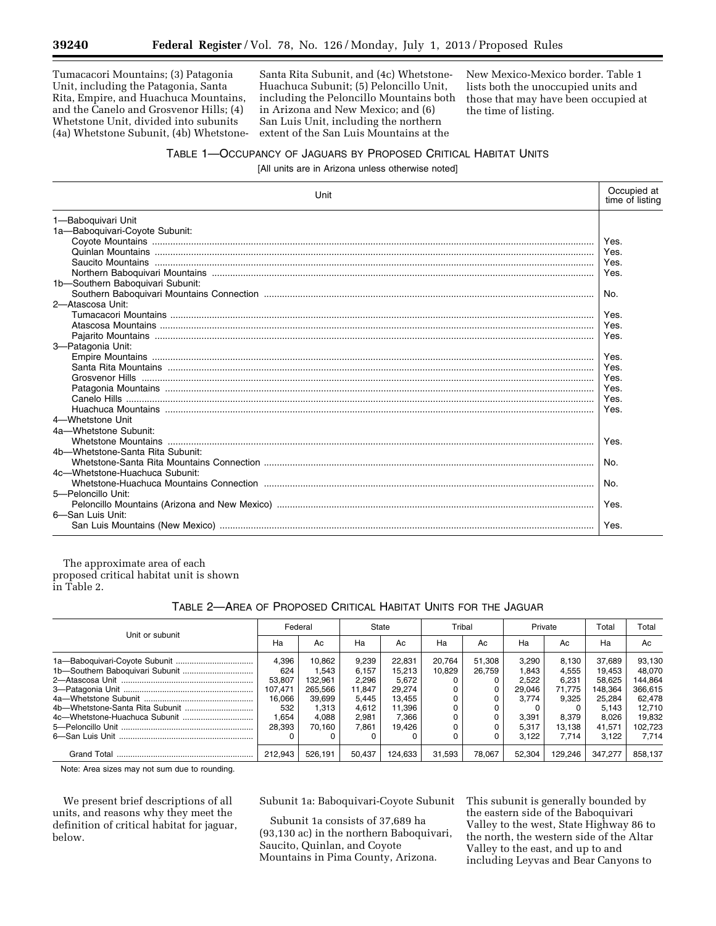Tumacacori Mountains; (3) Patagonia Unit, including the Patagonia, Santa Rita, Empire, and Huachuca Mountains, and the Canelo and Grosvenor Hills; (4) Whetstone Unit, divided into subunits (4a) Whetstone Subunit, (4b) Whetstone-

Santa Rita Subunit, and (4c) Whetstone-Huachuca Subunit; (5) Peloncillo Unit, including the Peloncillo Mountains both in Arizona and New Mexico; and (6) San Luis Unit, including the northern extent of the San Luis Mountains at the

New Mexico-Mexico border. Table 1 lists both the unoccupied units and those that may have been occupied at the time of listing.

# TABLE 1—OCCUPANCY OF JAGUARS BY PROPOSED CRITICAL HABITAT UNITS

[All units are in Arizona unless otherwise noted]

| Unit                             |      |  |  |  |  |
|----------------------------------|------|--|--|--|--|
| 1-Baboquivari Unit               |      |  |  |  |  |
| 1a-Baboquivari-Coyote Subunit:   |      |  |  |  |  |
|                                  | Yes. |  |  |  |  |
|                                  | Yes. |  |  |  |  |
|                                  | Yes. |  |  |  |  |
|                                  | Yes. |  |  |  |  |
| 1b-Southern Baboquivari Subunit: |      |  |  |  |  |
|                                  | No.  |  |  |  |  |
| 2-Atascosa Unit:                 |      |  |  |  |  |
|                                  | Yes. |  |  |  |  |
|                                  | Yes. |  |  |  |  |
|                                  | Yes. |  |  |  |  |
| 3-Patagonia Unit:                |      |  |  |  |  |
|                                  | Yes. |  |  |  |  |
|                                  | Yes. |  |  |  |  |
|                                  | Yes. |  |  |  |  |
|                                  | Yes. |  |  |  |  |
|                                  | Yes. |  |  |  |  |
|                                  | Yes. |  |  |  |  |
| 4-Whetstone Unit                 |      |  |  |  |  |
| 4a-Whetstone Subunit:            |      |  |  |  |  |
|                                  | Yes. |  |  |  |  |
| 4b-Whetstone-Santa Rita Subunit: |      |  |  |  |  |
|                                  | No.  |  |  |  |  |
| 4c-Whetstone-Huachuca Subunit:   |      |  |  |  |  |
|                                  | No.  |  |  |  |  |
| 5-Peloncillo Unit:               |      |  |  |  |  |
|                                  | Yes. |  |  |  |  |
| 6-San Luis Unit:                 |      |  |  |  |  |
|                                  | Yes. |  |  |  |  |

The approximate area of each proposed critical habitat unit is shown in Table 2.

# TABLE 2—AREA OF PROPOSED CRITICAL HABITAT UNITS FOR THE JAGUAR

| Unit or subunit | Federal |         | State  |         | Tribal |        | Private |         | Total   | Total   |
|-----------------|---------|---------|--------|---------|--------|--------|---------|---------|---------|---------|
|                 | Ha      | Ac      | Ha     | Ac      | Ha     | Ac     | Ha      | Ac      | Ha      | Ac      |
|                 | 4,396   | 10.862  | 9,239  | 22.831  | 20.764 | 51.308 | 3.290   | 8.130   | 37.689  | 93.130  |
|                 | 624     | 1.543   | 6.157  | 15,213  | 10.829 | 26.759 | .843    | 4.555   | 19.453  | 48.070  |
|                 | 53.807  | 132.961 | 2.296  | 5.672   |        |        | 2.522   | 6.231   | 58.625  | 144.864 |
|                 | 107.471 | 265.566 | 11,847 | 29,274  |        | 0      | 29.046  | 71.775  | 148.364 | 366.615 |
|                 | 16,066  | 39.699  | 5.445  | 13.455  |        | 0      | 3.774   | 9.325   | 25,284  | 62.478  |
|                 | 532     | 1.313   | 4.612  | 11.396  |        | 0      |         |         | 5.143   | 12.710  |
|                 | 1.654   | 4.088   | 2.981  | 7.366   |        | 0      | 3.391   | 8.379   | 8.026   | 19.832  |
|                 | 28.393  | 70.160  | 7,861  | 19.426  |        |        | 5,317   | 13.138  | 41,571  | 102.723 |
|                 |         |         |        |         |        | 0      | 3.122   | 7.714   | 3.122   | 7.714   |
|                 | 212.943 | 526.191 | 50.437 | 124.633 | 31.593 | 78.067 | 52.304  | 129.246 | 347.277 | 858.137 |

Note: Area sizes may not sum due to rounding.

We present brief descriptions of all units, and reasons why they meet the definition of critical habitat for jaguar, below.

Subunit 1a: Baboquivari-Coyote Subunit

Subunit 1a consists of 37,689 ha (93,130 ac) in the northern Baboquivari, Saucito, Quinlan, and Coyote Mountains in Pima County, Arizona.

This subunit is generally bounded by the eastern side of the Baboquivari Valley to the west, State Highway 86 to the north, the western side of the Altar Valley to the east, and up to and including Leyvas and Bear Canyons to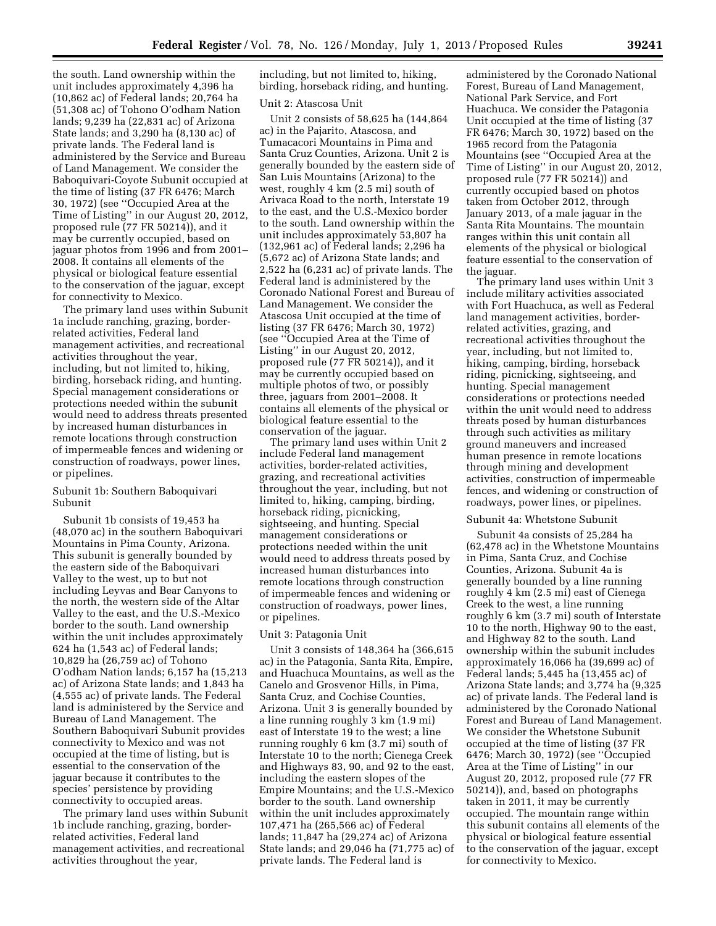the south. Land ownership within the unit includes approximately 4,396 ha (10,862 ac) of Federal lands; 20,764 ha (51,308 ac) of Tohono O'odham Nation lands; 9,239 ha (22,831 ac) of Arizona State lands; and 3,290 ha (8,130 ac) of private lands. The Federal land is administered by the Service and Bureau of Land Management. We consider the Baboquivari-Coyote Subunit occupied at the time of listing (37 FR 6476; March 30, 1972) (see ''Occupied Area at the Time of Listing'' in our August 20, 2012, proposed rule (77 FR 50214)), and it may be currently occupied, based on jaguar photos from 1996 and from 2001– 2008. It contains all elements of the physical or biological feature essential to the conservation of the jaguar, except for connectivity to Mexico.

The primary land uses within Subunit 1a include ranching, grazing, borderrelated activities, Federal land management activities, and recreational activities throughout the year, including, but not limited to, hiking, birding, horseback riding, and hunting. Special management considerations or protections needed within the subunit would need to address threats presented by increased human disturbances in remote locations through construction of impermeable fences and widening or construction of roadways, power lines, or pipelines.

# Subunit 1b: Southern Baboquivari Subunit

Subunit 1b consists of 19,453 ha (48,070 ac) in the southern Baboquivari Mountains in Pima County, Arizona. This subunit is generally bounded by the eastern side of the Baboquivari Valley to the west, up to but not including Leyvas and Bear Canyons to the north, the western side of the Altar Valley to the east, and the U.S.-Mexico border to the south. Land ownership within the unit includes approximately 624 ha (1,543 ac) of Federal lands; 10,829 ha (26,759 ac) of Tohono O'odham Nation lands; 6,157 ha (15,213 ac) of Arizona State lands; and 1,843 ha (4,555 ac) of private lands. The Federal land is administered by the Service and Bureau of Land Management. The Southern Baboquivari Subunit provides connectivity to Mexico and was not occupied at the time of listing, but is essential to the conservation of the jaguar because it contributes to the species' persistence by providing connectivity to occupied areas.

The primary land uses within Subunit 1b include ranching, grazing, borderrelated activities, Federal land management activities, and recreational activities throughout the year,

including, but not limited to, hiking, birding, horseback riding, and hunting.

#### Unit 2: Atascosa Unit

Unit 2 consists of 58,625 ha (144,864 ac) in the Pajarito, Atascosa, and Tumacacori Mountains in Pima and Santa Cruz Counties, Arizona. Unit 2 is generally bounded by the eastern side of San Luis Mountains (Arizona) to the west, roughly 4 km (2.5 mi) south of Arivaca Road to the north, Interstate 19 to the east, and the U.S.-Mexico border to the south. Land ownership within the unit includes approximately 53,807 ha (132,961 ac) of Federal lands; 2,296 ha (5,672 ac) of Arizona State lands; and 2,522 ha (6,231 ac) of private lands. The Federal land is administered by the Coronado National Forest and Bureau of Land Management. We consider the Atascosa Unit occupied at the time of listing (37 FR 6476; March 30, 1972) (see ''Occupied Area at the Time of Listing'' in our August 20, 2012, proposed rule (77 FR 50214)), and it may be currently occupied based on multiple photos of two, or possibly three, jaguars from 2001–2008. It contains all elements of the physical or biological feature essential to the conservation of the jaguar.

The primary land uses within Unit 2 include Federal land management activities, border-related activities, grazing, and recreational activities throughout the year, including, but not limited to, hiking, camping, birding, horseback riding, picnicking, sightseeing, and hunting. Special management considerations or protections needed within the unit would need to address threats posed by increased human disturbances into remote locations through construction of impermeable fences and widening or construction of roadways, power lines, or pipelines.

## Unit 3: Patagonia Unit

Unit 3 consists of 148,364 ha (366,615 ac) in the Patagonia, Santa Rita, Empire, and Huachuca Mountains, as well as the Canelo and Grosvenor Hills, in Pima, Santa Cruz, and Cochise Counties, Arizona. Unit 3 is generally bounded by a line running roughly 3 km (1.9 mi) east of Interstate 19 to the west; a line running roughly 6 km (3.7 mi) south of Interstate 10 to the north; Cienega Creek and Highways 83, 90, and 92 to the east, including the eastern slopes of the Empire Mountains; and the U.S.-Mexico border to the south. Land ownership within the unit includes approximately 107,471 ha (265,566 ac) of Federal lands; 11,847 ha (29,274 ac) of Arizona State lands; and 29,046 ha (71,775 ac) of private lands. The Federal land is

administered by the Coronado National Forest, Bureau of Land Management, National Park Service, and Fort Huachuca. We consider the Patagonia Unit occupied at the time of listing (37 FR 6476; March 30, 1972) based on the 1965 record from the Patagonia Mountains (see ''Occupied Area at the Time of Listing'' in our August 20, 2012, proposed rule (77 FR 50214)) and currently occupied based on photos taken from October 2012, through January 2013, of a male jaguar in the Santa Rita Mountains. The mountain ranges within this unit contain all elements of the physical or biological feature essential to the conservation of the jaguar.

The primary land uses within Unit 3 include military activities associated with Fort Huachuca, as well as Federal land management activities, borderrelated activities, grazing, and recreational activities throughout the year, including, but not limited to, hiking, camping, birding, horseback riding, picnicking, sightseeing, and hunting. Special management considerations or protections needed within the unit would need to address threats posed by human disturbances through such activities as military ground maneuvers and increased human presence in remote locations through mining and development activities, construction of impermeable fences, and widening or construction of roadways, power lines, or pipelines.

#### Subunit 4a: Whetstone Subunit

Subunit 4a consists of 25,284 ha (62,478 ac) in the Whetstone Mountains in Pima, Santa Cruz, and Cochise Counties, Arizona. Subunit 4a is generally bounded by a line running roughly 4 km (2.5 mi) east of Cienega Creek to the west, a line running roughly 6 km (3.7 mi) south of Interstate 10 to the north, Highway 90 to the east, and Highway 82 to the south. Land ownership within the subunit includes approximately 16,066 ha (39,699 ac) of Federal lands; 5,445 ha (13,455 ac) of Arizona State lands; and 3,774 ha (9,325 ac) of private lands. The Federal land is administered by the Coronado National Forest and Bureau of Land Management. We consider the Whetstone Subunit occupied at the time of listing (37 FR 6476; March 30, 1972) (see ''Occupied Area at the Time of Listing'' in our August 20, 2012, proposed rule (77 FR 50214)), and, based on photographs taken in 2011, it may be currently occupied. The mountain range within this subunit contains all elements of the physical or biological feature essential to the conservation of the jaguar, except for connectivity to Mexico.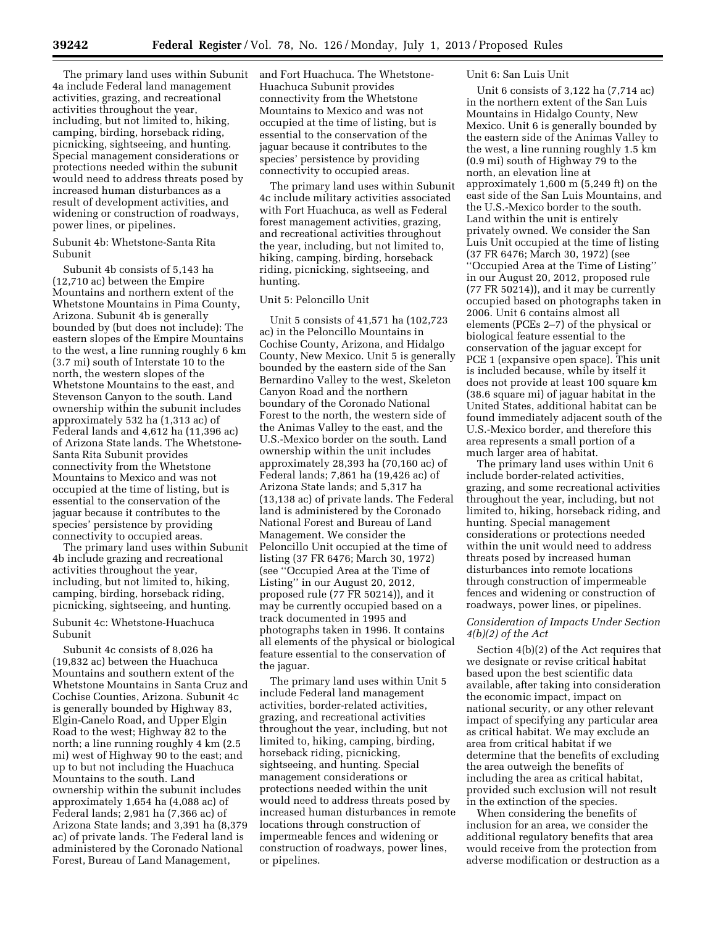The primary land uses within Subunit 4a include Federal land management activities, grazing, and recreational activities throughout the year, including, but not limited to, hiking, camping, birding, horseback riding, picnicking, sightseeing, and hunting. Special management considerations or protections needed within the subunit would need to address threats posed by increased human disturbances as a result of development activities, and widening or construction of roadways, power lines, or pipelines.

Subunit 4b: Whetstone-Santa Rita Subunit

Subunit 4b consists of 5,143 ha (12,710 ac) between the Empire Mountains and northern extent of the Whetstone Mountains in Pima County, Arizona. Subunit 4b is generally bounded by (but does not include): The eastern slopes of the Empire Mountains to the west, a line running roughly 6 km (3.7 mi) south of Interstate 10 to the north, the western slopes of the Whetstone Mountains to the east, and Stevenson Canyon to the south. Land ownership within the subunit includes approximately 532 ha (1,313 ac) of Federal lands and 4,612 ha (11,396 ac) of Arizona State lands. The Whetstone-Santa Rita Subunit provides connectivity from the Whetstone Mountains to Mexico and was not occupied at the time of listing, but is essential to the conservation of the jaguar because it contributes to the species' persistence by providing connectivity to occupied areas.

The primary land uses within Subunit 4b include grazing and recreational activities throughout the year, including, but not limited to, hiking, camping, birding, horseback riding, picnicking, sightseeing, and hunting.

# Subunit 4c: Whetstone-Huachuca Subunit

Subunit 4c consists of 8,026 ha (19,832 ac) between the Huachuca Mountains and southern extent of the Whetstone Mountains in Santa Cruz and Cochise Counties, Arizona. Subunit 4c is generally bounded by Highway 83, Elgin-Canelo Road, and Upper Elgin Road to the west; Highway 82 to the north; a line running roughly 4 km (2.5 mi) west of Highway 90 to the east; and up to but not including the Huachuca Mountains to the south. Land ownership within the subunit includes approximately 1,654 ha (4,088 ac) of Federal lands; 2,981 ha (7,366 ac) of Arizona State lands; and 3,391 ha (8,379 ac) of private lands. The Federal land is administered by the Coronado National Forest, Bureau of Land Management,

and Fort Huachuca. The Whetstone-Huachuca Subunit provides connectivity from the Whetstone Mountains to Mexico and was not occupied at the time of listing, but is essential to the conservation of the jaguar because it contributes to the species' persistence by providing connectivity to occupied areas.

The primary land uses within Subunit 4c include military activities associated with Fort Huachuca, as well as Federal forest management activities, grazing, and recreational activities throughout the year, including, but not limited to, hiking, camping, birding, horseback riding, picnicking, sightseeing, and hunting.

# Unit 5: Peloncillo Unit

Unit 5 consists of 41,571 ha (102,723 ac) in the Peloncillo Mountains in Cochise County, Arizona, and Hidalgo County, New Mexico. Unit 5 is generally bounded by the eastern side of the San Bernardino Valley to the west, Skeleton Canyon Road and the northern boundary of the Coronado National Forest to the north, the western side of the Animas Valley to the east, and the U.S.-Mexico border on the south. Land ownership within the unit includes approximately 28,393 ha (70,160 ac) of Federal lands; 7,861 ha (19,426 ac) of Arizona State lands; and 5,317 ha (13,138 ac) of private lands. The Federal land is administered by the Coronado National Forest and Bureau of Land Management. We consider the Peloncillo Unit occupied at the time of listing (37 FR 6476; March 30, 1972) (see ''Occupied Area at the Time of Listing'' in our August 20, 2012, proposed rule (77 FR 50214)), and it may be currently occupied based on a track documented in 1995 and photographs taken in 1996. It contains all elements of the physical or biological feature essential to the conservation of the jaguar.

The primary land uses within Unit 5 include Federal land management activities, border-related activities, grazing, and recreational activities throughout the year, including, but not limited to, hiking, camping, birding, horseback riding, picnicking, sightseeing, and hunting. Special management considerations or protections needed within the unit would need to address threats posed by increased human disturbances in remote locations through construction of impermeable fences and widening or construction of roadways, power lines, or pipelines.

# Unit 6: San Luis Unit

Unit 6 consists of 3,122 ha (7,714 ac) in the northern extent of the San Luis Mountains in Hidalgo County, New Mexico. Unit 6 is generally bounded by the eastern side of the Animas Valley to the west, a line running roughly 1.5 km (0.9 mi) south of Highway 79 to the north, an elevation line at approximately 1,600 m (5,249 ft) on the east side of the San Luis Mountains, and the U.S.-Mexico border to the south. Land within the unit is entirely privately owned. We consider the San Luis Unit occupied at the time of listing (37 FR 6476; March 30, 1972) (see ''Occupied Area at the Time of Listing'' in our August 20, 2012, proposed rule (77 FR 50214)), and it may be currently occupied based on photographs taken in 2006. Unit 6 contains almost all elements (PCEs 2–7) of the physical or biological feature essential to the conservation of the jaguar except for PCE 1 (expansive open space). This unit is included because, while by itself it does not provide at least 100 square km (38.6 square mi) of jaguar habitat in the United States, additional habitat can be found immediately adjacent south of the U.S.-Mexico border, and therefore this area represents a small portion of a much larger area of habitat.

The primary land uses within Unit 6 include border-related activities, grazing, and some recreational activities throughout the year, including, but not limited to, hiking, horseback riding, and hunting. Special management considerations or protections needed within the unit would need to address threats posed by increased human disturbances into remote locations through construction of impermeable fences and widening or construction of roadways, power lines, or pipelines.

# *Consideration of Impacts Under Section 4(b)(2) of the Act*

Section 4(b)(2) of the Act requires that we designate or revise critical habitat based upon the best scientific data available, after taking into consideration the economic impact, impact on national security, or any other relevant impact of specifying any particular area as critical habitat. We may exclude an area from critical habitat if we determine that the benefits of excluding the area outweigh the benefits of including the area as critical habitat, provided such exclusion will not result in the extinction of the species.

When considering the benefits of inclusion for an area, we consider the additional regulatory benefits that area would receive from the protection from adverse modification or destruction as a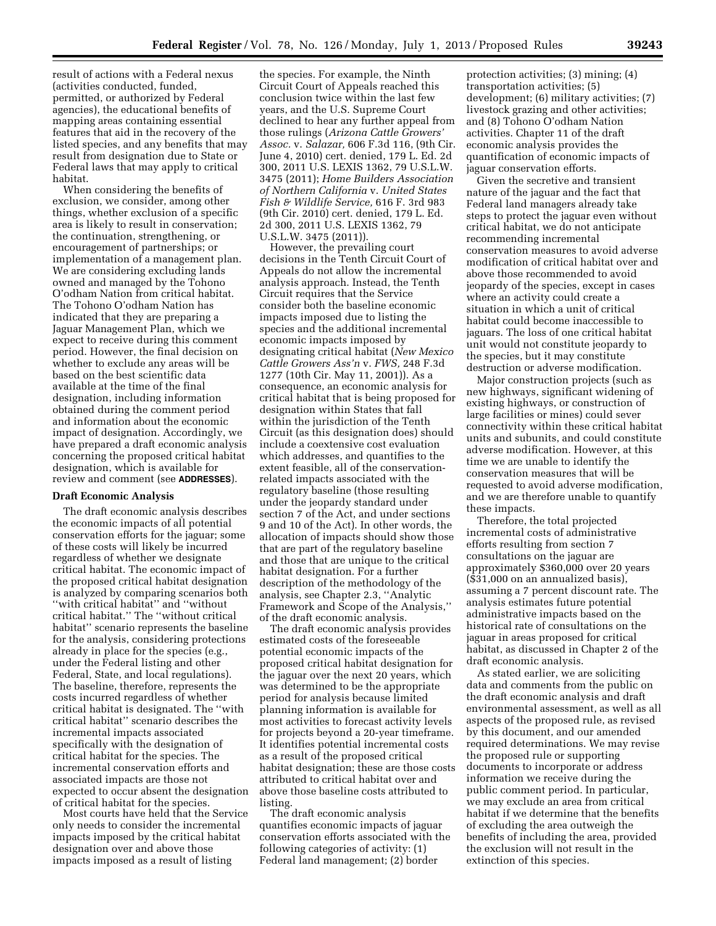result of actions with a Federal nexus (activities conducted, funded, permitted, or authorized by Federal agencies), the educational benefits of mapping areas containing essential features that aid in the recovery of the listed species, and any benefits that may result from designation due to State or Federal laws that may apply to critical habitat.

When considering the benefits of exclusion, we consider, among other things, whether exclusion of a specific area is likely to result in conservation; the continuation, strengthening, or encouragement of partnerships; or implementation of a management plan. We are considering excluding lands owned and managed by the Tohono O'odham Nation from critical habitat. The Tohono O'odham Nation has indicated that they are preparing a Jaguar Management Plan, which we expect to receive during this comment period. However, the final decision on whether to exclude any areas will be based on the best scientific data available at the time of the final designation, including information obtained during the comment period and information about the economic impact of designation. Accordingly, we have prepared a draft economic analysis concerning the proposed critical habitat designation, which is available for review and comment (see **ADDRESSES**).

### **Draft Economic Analysis**

The draft economic analysis describes the economic impacts of all potential conservation efforts for the jaguar; some of these costs will likely be incurred regardless of whether we designate critical habitat. The economic impact of the proposed critical habitat designation is analyzed by comparing scenarios both ''with critical habitat'' and ''without critical habitat.'' The ''without critical habitat'' scenario represents the baseline for the analysis, considering protections already in place for the species (e.g., under the Federal listing and other Federal, State, and local regulations). The baseline, therefore, represents the costs incurred regardless of whether critical habitat is designated. The ''with critical habitat'' scenario describes the incremental impacts associated specifically with the designation of critical habitat for the species. The incremental conservation efforts and associated impacts are those not expected to occur absent the designation of critical habitat for the species.

Most courts have held that the Service only needs to consider the incremental impacts imposed by the critical habitat designation over and above those impacts imposed as a result of listing

the species. For example, the Ninth Circuit Court of Appeals reached this conclusion twice within the last few years, and the U.S. Supreme Court declined to hear any further appeal from those rulings (*Arizona Cattle Growers' Assoc.* v. *Salazar,* 606 F.3d 116, (9th Cir. June 4, 2010) cert. denied, 179 L. Ed. 2d 300, 2011 U.S. LEXIS 1362, 79 U.S.L.W. 3475 (2011); *Home Builders Association of Northern California* v. *United States Fish & Wildlife Service,* 616 F. 3rd 983 (9th Cir. 2010) cert. denied, 179 L. Ed. 2d 300, 2011 U.S. LEXIS 1362, 79 U.S.L.W. 3475 (2011)).

However, the prevailing court decisions in the Tenth Circuit Court of Appeals do not allow the incremental analysis approach. Instead, the Tenth Circuit requires that the Service consider both the baseline economic impacts imposed due to listing the species and the additional incremental economic impacts imposed by designating critical habitat (*New Mexico Cattle Growers Ass'n* v. *FWS,* 248 F.3d 1277 (10th Cir. May 11, 2001)). As a consequence, an economic analysis for critical habitat that is being proposed for designation within States that fall within the jurisdiction of the Tenth Circuit (as this designation does) should include a coextensive cost evaluation which addresses, and quantifies to the extent feasible, all of the conservationrelated impacts associated with the regulatory baseline (those resulting under the jeopardy standard under section 7 of the Act, and under sections 9 and 10 of the Act). In other words, the allocation of impacts should show those that are part of the regulatory baseline and those that are unique to the critical habitat designation. For a further description of the methodology of the analysis, see Chapter 2.3, ''Analytic Framework and Scope of the Analysis,'' of the draft economic analysis.

The draft economic analysis provides estimated costs of the foreseeable potential economic impacts of the proposed critical habitat designation for the jaguar over the next 20 years, which was determined to be the appropriate period for analysis because limited planning information is available for most activities to forecast activity levels for projects beyond a 20-year timeframe. It identifies potential incremental costs as a result of the proposed critical habitat designation; these are those costs attributed to critical habitat over and above those baseline costs attributed to listing.

The draft economic analysis quantifies economic impacts of jaguar conservation efforts associated with the following categories of activity: (1) Federal land management; (2) border

protection activities; (3) mining; (4) transportation activities; (5) development; (6) military activities; (7) livestock grazing and other activities; and (8) Tohono O'odham Nation activities. Chapter 11 of the draft economic analysis provides the quantification of economic impacts of jaguar conservation efforts.

Given the secretive and transient nature of the jaguar and the fact that Federal land managers already take steps to protect the jaguar even without critical habitat, we do not anticipate recommending incremental conservation measures to avoid adverse modification of critical habitat over and above those recommended to avoid jeopardy of the species, except in cases where an activity could create a situation in which a unit of critical habitat could become inaccessible to jaguars. The loss of one critical habitat unit would not constitute jeopardy to the species, but it may constitute destruction or adverse modification.

Major construction projects (such as new highways, significant widening of existing highways, or construction of large facilities or mines) could sever connectivity within these critical habitat units and subunits, and could constitute adverse modification. However, at this time we are unable to identify the conservation measures that will be requested to avoid adverse modification, and we are therefore unable to quantify these impacts.

Therefore, the total projected incremental costs of administrative efforts resulting from section 7 consultations on the jaguar are approximately \$360,000 over 20 years (\$31,000 on an annualized basis), assuming a 7 percent discount rate. The analysis estimates future potential administrative impacts based on the historical rate of consultations on the jaguar in areas proposed for critical habitat, as discussed in Chapter 2 of the draft economic analysis.

As stated earlier, we are soliciting data and comments from the public on the draft economic analysis and draft environmental assessment, as well as all aspects of the proposed rule, as revised by this document, and our amended required determinations. We may revise the proposed rule or supporting documents to incorporate or address information we receive during the public comment period. In particular, we may exclude an area from critical habitat if we determine that the benefits of excluding the area outweigh the benefits of including the area, provided the exclusion will not result in the extinction of this species.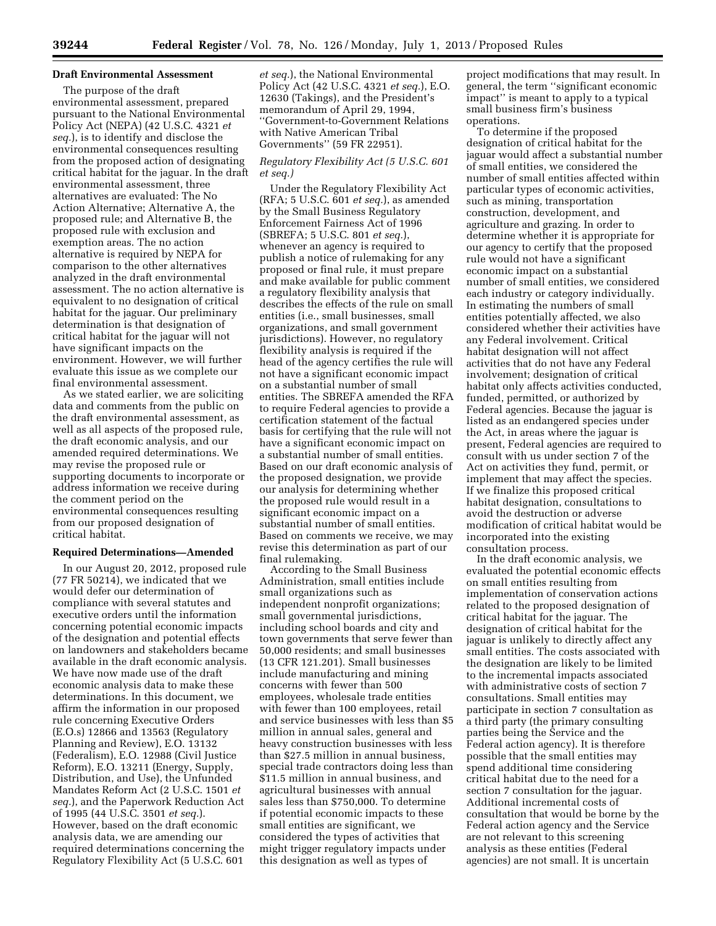# **Draft Environmental Assessment**

The purpose of the draft environmental assessment, prepared pursuant to the National Environmental Policy Act (NEPA) (42 U.S.C. 4321 *et seq.*), is to identify and disclose the environmental consequences resulting from the proposed action of designating critical habitat for the jaguar. In the draft environmental assessment, three alternatives are evaluated: The No Action Alternative; Alternative A, the proposed rule; and Alternative B, the proposed rule with exclusion and exemption areas. The no action alternative is required by NEPA for comparison to the other alternatives analyzed in the draft environmental assessment. The no action alternative is equivalent to no designation of critical habitat for the jaguar. Our preliminary determination is that designation of critical habitat for the jaguar will not have significant impacts on the environment. However, we will further evaluate this issue as we complete our final environmental assessment.

As we stated earlier, we are soliciting data and comments from the public on the draft environmental assessment, as well as all aspects of the proposed rule, the draft economic analysis, and our amended required determinations. We may revise the proposed rule or supporting documents to incorporate or address information we receive during the comment period on the environmental consequences resulting from our proposed designation of critical habitat.

### **Required Determinations—Amended**

In our August 20, 2012, proposed rule (77 FR 50214), we indicated that we would defer our determination of compliance with several statutes and executive orders until the information concerning potential economic impacts of the designation and potential effects on landowners and stakeholders became available in the draft economic analysis. We have now made use of the draft economic analysis data to make these determinations. In this document, we affirm the information in our proposed rule concerning Executive Orders (E.O.s) 12866 and 13563 (Regulatory Planning and Review), E.O. 13132 (Federalism), E.O. 12988 (Civil Justice Reform), E.O. 13211 (Energy, Supply, Distribution, and Use), the Unfunded Mandates Reform Act (2 U.S.C. 1501 *et seq.*), and the Paperwork Reduction Act of 1995 (44 U.S.C. 3501 *et seq.*). However, based on the draft economic analysis data, we are amending our required determinations concerning the Regulatory Flexibility Act (5 U.S.C. 601

*et seq.*), the National Environmental Policy Act (42 U.S.C. 4321 *et seq.*), E.O. 12630 (Takings), and the President's memorandum of April 29, 1994, ''Government-to-Government Relations with Native American Tribal Governments'' (59 FR 22951).

# *Regulatory Flexibility Act (5 U.S.C. 601 et seq.)*

Under the Regulatory Flexibility Act (RFA; 5 U.S.C. 601 *et seq.*), as amended by the Small Business Regulatory Enforcement Fairness Act of 1996 (SBREFA; 5 U.S.C. 801 *et seq.*), whenever an agency is required to publish a notice of rulemaking for any proposed or final rule, it must prepare and make available for public comment a regulatory flexibility analysis that describes the effects of the rule on small entities (i.e., small businesses, small organizations, and small government jurisdictions). However, no regulatory flexibility analysis is required if the head of the agency certifies the rule will not have a significant economic impact on a substantial number of small entities. The SBREFA amended the RFA to require Federal agencies to provide a certification statement of the factual basis for certifying that the rule will not have a significant economic impact on a substantial number of small entities. Based on our draft economic analysis of the proposed designation, we provide our analysis for determining whether the proposed rule would result in a significant economic impact on a substantial number of small entities. Based on comments we receive, we may revise this determination as part of our final rulemaking.

According to the Small Business Administration, small entities include small organizations such as independent nonprofit organizations; small governmental jurisdictions, including school boards and city and town governments that serve fewer than 50,000 residents; and small businesses (13 CFR 121.201). Small businesses include manufacturing and mining concerns with fewer than 500 employees, wholesale trade entities with fewer than 100 employees, retail and service businesses with less than \$5 million in annual sales, general and heavy construction businesses with less than \$27.5 million in annual business, special trade contractors doing less than \$11.5 million in annual business, and agricultural businesses with annual sales less than \$750,000. To determine if potential economic impacts to these small entities are significant, we considered the types of activities that might trigger regulatory impacts under this designation as well as types of

project modifications that may result. In general, the term ''significant economic impact'' is meant to apply to a typical small business firm's business operations.

To determine if the proposed designation of critical habitat for the jaguar would affect a substantial number of small entities, we considered the number of small entities affected within particular types of economic activities, such as mining, transportation construction, development, and agriculture and grazing. In order to determine whether it is appropriate for our agency to certify that the proposed rule would not have a significant economic impact on a substantial number of small entities, we considered each industry or category individually. In estimating the numbers of small entities potentially affected, we also considered whether their activities have any Federal involvement. Critical habitat designation will not affect activities that do not have any Federal involvement; designation of critical habitat only affects activities conducted, funded, permitted, or authorized by Federal agencies. Because the jaguar is listed as an endangered species under the Act, in areas where the jaguar is present, Federal agencies are required to consult with us under section 7 of the Act on activities they fund, permit, or implement that may affect the species. If we finalize this proposed critical habitat designation, consultations to avoid the destruction or adverse modification of critical habitat would be incorporated into the existing consultation process.

In the draft economic analysis, we evaluated the potential economic effects on small entities resulting from implementation of conservation actions related to the proposed designation of critical habitat for the jaguar. The designation of critical habitat for the jaguar is unlikely to directly affect any small entities. The costs associated with the designation are likely to be limited to the incremental impacts associated with administrative costs of section 7 consultations. Small entities may participate in section 7 consultation as a third party (the primary consulting parties being the Service and the Federal action agency). It is therefore possible that the small entities may spend additional time considering critical habitat due to the need for a section 7 consultation for the jaguar. Additional incremental costs of consultation that would be borne by the Federal action agency and the Service are not relevant to this screening analysis as these entities (Federal agencies) are not small. It is uncertain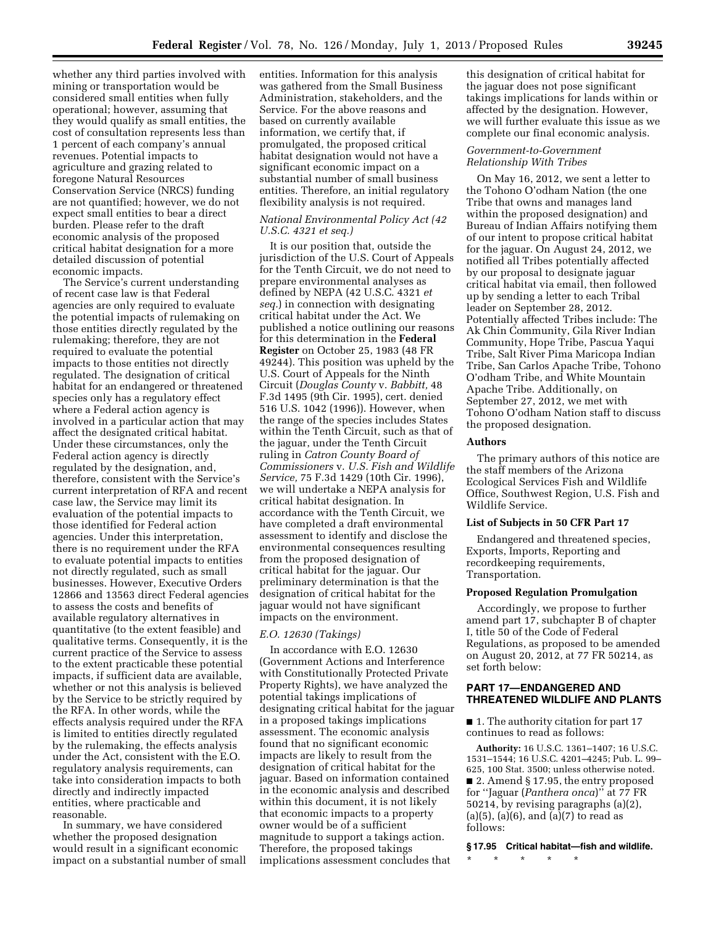whether any third parties involved with mining or transportation would be considered small entities when fully operational; however, assuming that they would qualify as small entities, the cost of consultation represents less than 1 percent of each company's annual revenues. Potential impacts to agriculture and grazing related to foregone Natural Resources Conservation Service (NRCS) funding are not quantified; however, we do not expect small entities to bear a direct burden. Please refer to the draft economic analysis of the proposed critical habitat designation for a more detailed discussion of potential economic impacts.

The Service's current understanding of recent case law is that Federal agencies are only required to evaluate the potential impacts of rulemaking on those entities directly regulated by the rulemaking; therefore, they are not required to evaluate the potential impacts to those entities not directly regulated. The designation of critical habitat for an endangered or threatened species only has a regulatory effect where a Federal action agency is involved in a particular action that may affect the designated critical habitat. Under these circumstances, only the Federal action agency is directly regulated by the designation, and, therefore, consistent with the Service's current interpretation of RFA and recent case law, the Service may limit its evaluation of the potential impacts to those identified for Federal action agencies. Under this interpretation, there is no requirement under the RFA to evaluate potential impacts to entities not directly regulated, such as small businesses. However, Executive Orders 12866 and 13563 direct Federal agencies to assess the costs and benefits of available regulatory alternatives in quantitative (to the extent feasible) and qualitative terms. Consequently, it is the current practice of the Service to assess to the extent practicable these potential impacts, if sufficient data are available, whether or not this analysis is believed by the Service to be strictly required by the RFA. In other words, while the effects analysis required under the RFA is limited to entities directly regulated by the rulemaking, the effects analysis under the Act, consistent with the E.O. regulatory analysis requirements, can take into consideration impacts to both directly and indirectly impacted entities, where practicable and reasonable.

In summary, we have considered whether the proposed designation would result in a significant economic impact on a substantial number of small entities. Information for this analysis was gathered from the Small Business Administration, stakeholders, and the Service. For the above reasons and based on currently available information, we certify that, if promulgated, the proposed critical habitat designation would not have a significant economic impact on a substantial number of small business entities. Therefore, an initial regulatory flexibility analysis is not required.

# *National Environmental Policy Act (42 U.S.C. 4321 et seq.)*

It is our position that, outside the jurisdiction of the U.S. Court of Appeals for the Tenth Circuit, we do not need to prepare environmental analyses as defined by NEPA (42 U.S.C. 4321 *et seq.*) in connection with designating critical habitat under the Act. We published a notice outlining our reasons for this determination in the **Federal Register** on October 25, 1983 (48 FR 49244). This position was upheld by the U.S. Court of Appeals for the Ninth Circuit (*Douglas County* v. *Babbitt,* 48 F.3d 1495 (9th Cir. 1995), cert. denied 516 U.S. 1042 (1996)). However, when the range of the species includes States within the Tenth Circuit, such as that of the jaguar, under the Tenth Circuit ruling in *Catron County Board of Commissioners* v. *U.S. Fish and Wildlife Service,* 75 F.3d 1429 (10th Cir. 1996), we will undertake a NEPA analysis for critical habitat designation. In accordance with the Tenth Circuit, we have completed a draft environmental assessment to identify and disclose the environmental consequences resulting from the proposed designation of critical habitat for the jaguar. Our preliminary determination is that the designation of critical habitat for the jaguar would not have significant impacts on the environment.

## *E.O. 12630 (Takings)*

In accordance with E.O. 12630 (Government Actions and Interference with Constitutionally Protected Private Property Rights), we have analyzed the potential takings implications of designating critical habitat for the jaguar in a proposed takings implications assessment. The economic analysis found that no significant economic impacts are likely to result from the designation of critical habitat for the jaguar. Based on information contained in the economic analysis and described within this document, it is not likely that economic impacts to a property owner would be of a sufficient magnitude to support a takings action. Therefore, the proposed takings implications assessment concludes that

this designation of critical habitat for the jaguar does not pose significant takings implications for lands within or affected by the designation. However, we will further evaluate this issue as we complete our final economic analysis.

# *Government-to-Government Relationship With Tribes*

On May 16, 2012, we sent a letter to the Tohono O'odham Nation (the one Tribe that owns and manages land within the proposed designation) and Bureau of Indian Affairs notifying them of our intent to propose critical habitat for the jaguar. On August 24, 2012, we notified all Tribes potentially affected by our proposal to designate jaguar critical habitat via email, then followed up by sending a letter to each Tribal leader on September 28, 2012. Potentially affected Tribes include: The Ak Chin Community, Gila River Indian Community, Hope Tribe, Pascua Yaqui Tribe, Salt River Pima Maricopa Indian Tribe, San Carlos Apache Tribe, Tohono O'odham Tribe, and White Mountain Apache Tribe. Additionally, on September 27, 2012, we met with Tohono O'odham Nation staff to discuss the proposed designation.

# **Authors**

The primary authors of this notice are the staff members of the Arizona Ecological Services Fish and Wildlife Office, Southwest Region, U.S. Fish and Wildlife Service.

### **List of Subjects in 50 CFR Part 17**

Endangered and threatened species, Exports, Imports, Reporting and recordkeeping requirements, Transportation.

#### **Proposed Regulation Promulgation**

Accordingly, we propose to further amend part 17, subchapter B of chapter I, title 50 of the Code of Federal Regulations, as proposed to be amended on August 20, 2012, at 77 FR 50214, as set forth below:

# **PART 17—ENDANGERED AND THREATENED WILDLIFE AND PLANTS**

■ 1. The authority citation for part 17 continues to read as follows:

**Authority:** 16 U.S.C. 1361–1407; 16 U.S.C. 1531–1544; 16 U.S.C. 4201–4245; Pub. L. 99– 625, 100 Stat. 3500; unless otherwise noted. ■ 2. Amend § 17.95, the entry proposed for ''Jaguar (*Panthera onca*)'' at 77 FR 50214, by revising paragraphs (a)(2),  $(a)(5)$ ,  $(a)(6)$ , and  $(a)(7)$  to read as follows:

**§ 17.95 Critical habitat—fish and wildlife.** 

\* \* \* \* \*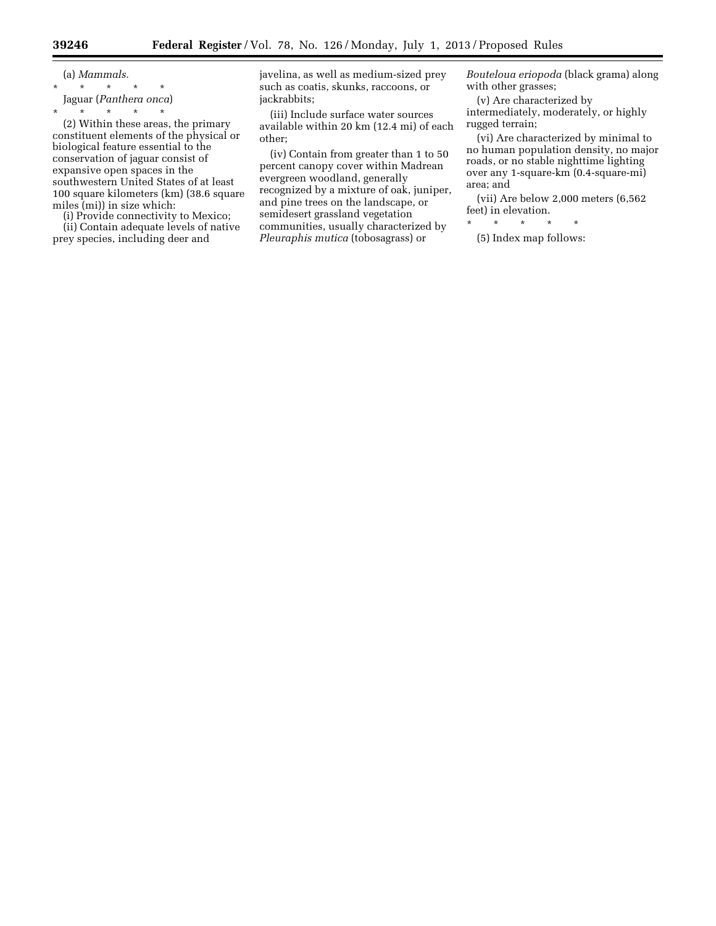(a) *Mammals.*  \* \* \* \* \* Jaguar (*Panthera onca*)

\* \* \* \* \* (2) Within these areas, the primary constituent elements of the physical or biological feature essential to the conservation of jaguar consist of expansive open spaces in the southwestern United States of at least 100 square kilometers (km) (38.6 square miles (mi)) in size which:

(i) Provide connectivity to Mexico;

(ii) Contain adequate levels of native prey species, including deer and

javelina, as well as medium-sized prey such as coatis, skunks, raccoons, or jackrabbits;

(iii) Include surface water sources available within 20 km (12.4 mi) of each other;

(iv) Contain from greater than 1 to 50 percent canopy cover within Madrean evergreen woodland, generally recognized by a mixture of oak, juniper, and pine trees on the landscape, or semidesert grassland vegetation communities, usually characterized by *Pleuraphis mutica* (tobosagrass) or

*Bouteloua eriopoda* (black grama) along with other grasses;

(v) Are characterized by intermediately, moderately, or highly rugged terrain;

(vi) Are characterized by minimal to no human population density, no major roads, or no stable nighttime lighting over any 1-square-km (0.4-square-mi) area; and

(vii) Are below 2,000 meters (6,562 feet) in elevation.

\* \* \* \* \* (5) Index map follows: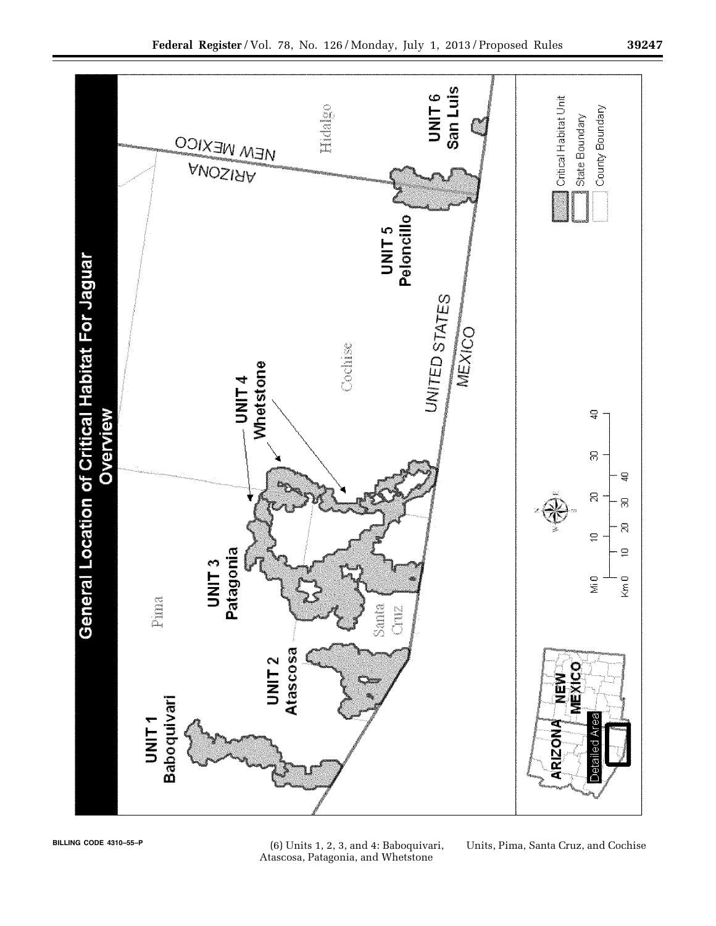

**BILLING CODE 4310–55–P** (6) Units 1, 2, 3, and 4: Baboquivari, Atascosa, Patagonia, and Whetstone

Units, Pima, Santa Cruz, and Cochise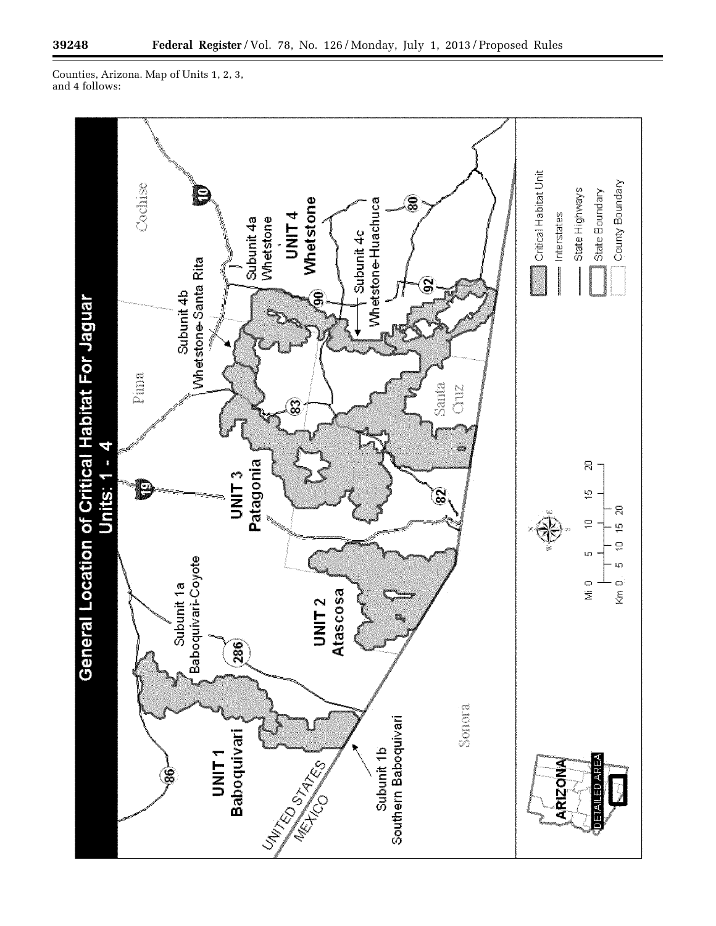۳

Counties, Arizona. Map of Units 1, 2, 3, and 4 follows:

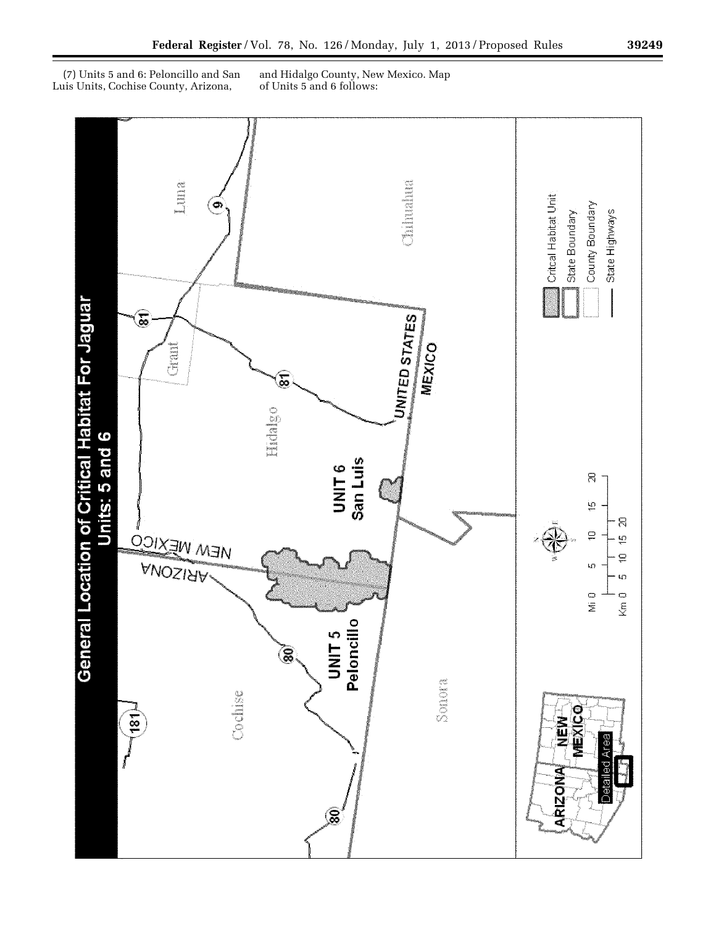(7) Units 5 and 6: Peloncillo and San Luis Units, Cochise County, Arizona,

and Hidalgo County, New Mexico. Map of Units 5 and 6 follows: